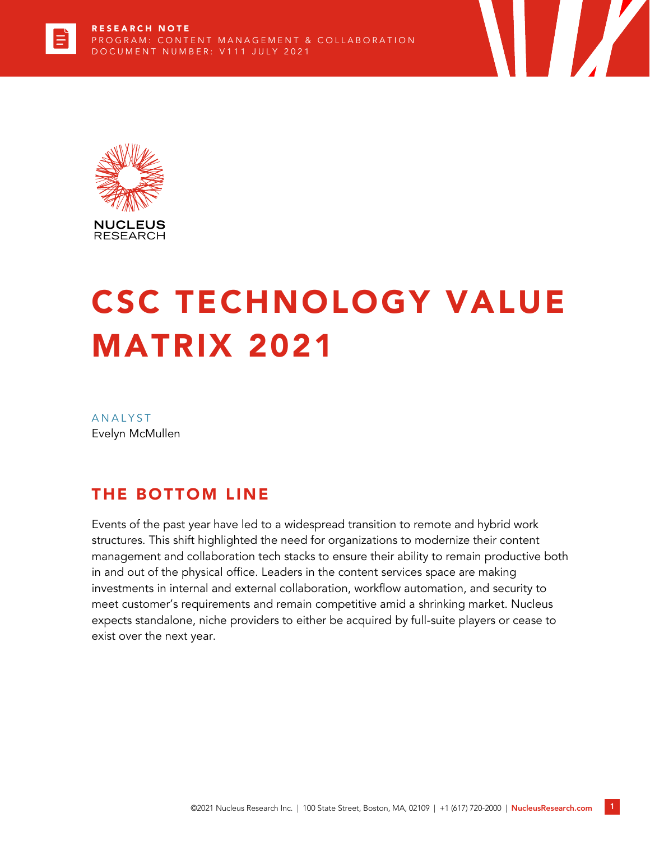



# CSC TECHNOLOGY VALUE MATRIX 2021

**ANALYST** Evelyn McMullen

# THE BOTTOM LINE

Events of the past year have led to a widespread transition to remote and hybrid work structures. This shift highlighted the need for organizations to modernize their content management and collaboration tech stacks to ensure their ability to remain productive both in and out of the physical office. Leaders in the content services space are making investments in internal and external collaboration, workflow automation, and security to meet customer's requirements and remain competitive amid a shrinking market. Nucleus expects standalone, niche providers to either be acquired by full-suite players or cease to exist over the next year.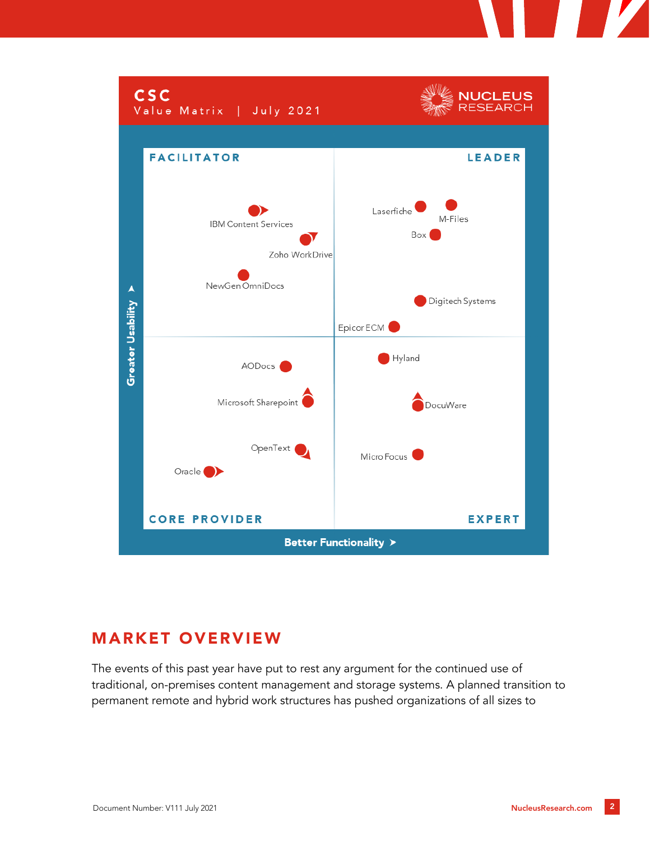

# MARKET OVERVIEW

The events of this past year have put to rest any argument for the continued use of traditional, on-premises content management and storage systems. A planned transition to permanent remote and hybrid work structures has pushed organizations of all sizes to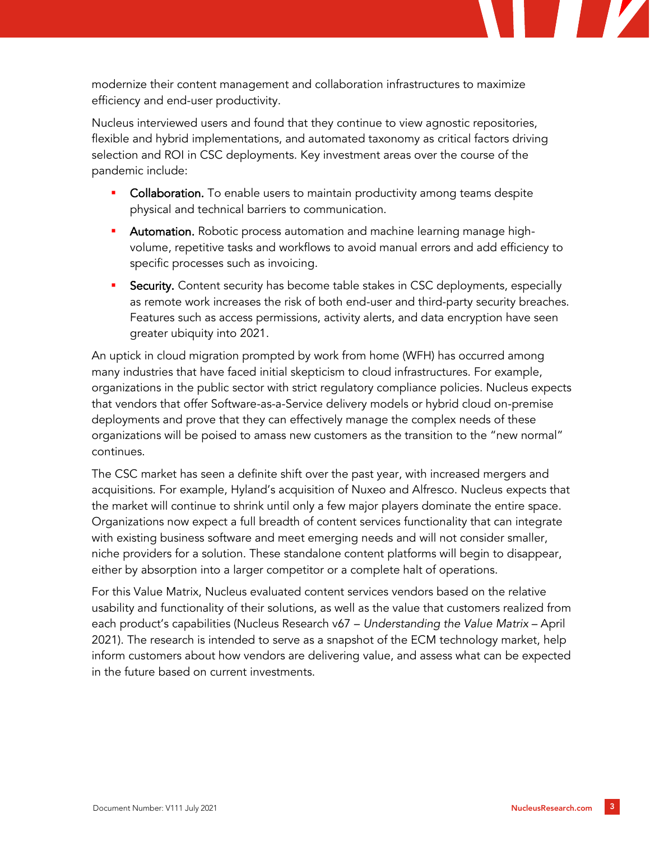

Nucleus interviewed users and found that they continue to view agnostic repositories, flexible and hybrid implementations, and automated taxonomy as critical factors driving selection and ROI in CSC deployments. Key investment areas over the course of the pandemic include:

- **Collaboration.** To enable users to maintain productivity among teams despite physical and technical barriers to communication.
- **EXED Automation.** Robotic process automation and machine learning manage highvolume, repetitive tasks and workflows to avoid manual errors and add efficiency to specific processes such as invoicing.
- **Security.** Content security has become table stakes in CSC deployments, especially as remote work increases the risk of both end-user and third-party security breaches. Features such as access permissions, activity alerts, and data encryption have seen greater ubiquity into 2021.

An uptick in cloud migration prompted by work from home (WFH) has occurred among many industries that have faced initial skepticism to cloud infrastructures. For example, organizations in the public sector with strict regulatory compliance policies. Nucleus expects that vendors that offer Software-as-a-Service delivery models or hybrid cloud on-premise deployments and prove that they can effectively manage the complex needs of these organizations will be poised to amass new customers as the transition to the "new normal" continues.

The CSC market has seen a definite shift over the past year, with increased mergers and acquisitions. For example, Hyland's acquisition of Nuxeo and Alfresco. Nucleus expects that the market will continue to shrink until only a few major players dominate the entire space. Organizations now expect a full breadth of content services functionality that can integrate with existing business software and meet emerging needs and will not consider smaller, niche providers for a solution. These standalone content platforms will begin to disappear, either by absorption into a larger competitor or a complete halt of operations.

For this Value Matrix, Nucleus evaluated content services vendors based on the relative usability and functionality of their solutions, as well as the value that customers realized from each product's capabilities (Nucleus Research v67 – *Understanding the Value Matrix* – April 2021). The research is intended to serve as a snapshot of the ECM technology market, help inform customers about how vendors are delivering value, and assess what can be expected in the future based on current investments.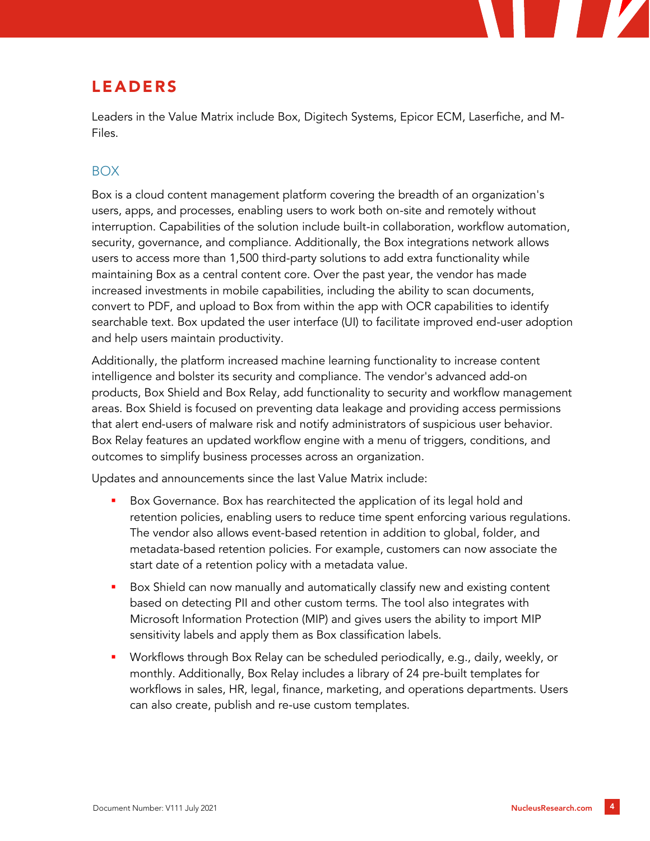# LEADERS

Leaders in the Value Matrix include Box, Digitech Systems, Epicor ECM, Laserfiche, and M-Files.

#### BOX

Box is a cloud content management platform covering the breadth of an organization's users, apps, and processes, enabling users to work both on-site and remotely without interruption. Capabilities of the solution include built-in collaboration, workflow automation, security, governance, and compliance. Additionally, the Box integrations network allows users to access more than 1,500 third-party solutions to add extra functionality while maintaining Box as a central content core. Over the past year, the vendor has made increased investments in mobile capabilities, including the ability to scan documents, convert to PDF, and upload to Box from within the app with OCR capabilities to identify searchable text. Box updated the user interface (UI) to facilitate improved end-user adoption and help users maintain productivity.

Additionally, the platform increased machine learning functionality to increase content intelligence and bolster its security and compliance. The vendor's advanced add-on products, Box Shield and Box Relay, add functionality to security and workflow management areas. Box Shield is focused on preventing data leakage and providing access permissions that alert end-users of malware risk and notify administrators of suspicious user behavior. Box Relay features an updated workflow engine with a menu of triggers, conditions, and outcomes to simplify business processes across an organization.

Updates and announcements since the last Value Matrix include:

- Box Governance. Box has rearchitected the application of its legal hold and retention policies, enabling users to reduce time spent enforcing various regulations. The vendor also allows event-based retention in addition to global, folder, and metadata-based retention policies. For example, customers can now associate the start date of a retention policy with a metadata value.
- Box Shield can now manually and automatically classify new and existing content based on detecting PII and other custom terms. The tool also integrates with Microsoft Information Protection (MIP) and gives users the ability to import MIP sensitivity labels and apply them as Box classification labels.
- Workflows through Box Relay can be scheduled periodically, e.g., daily, weekly, or monthly. Additionally, Box Relay includes a library of 24 pre-built templates for workflows in sales, HR, legal, finance, marketing, and operations departments. Users can also create, publish and re-use custom templates.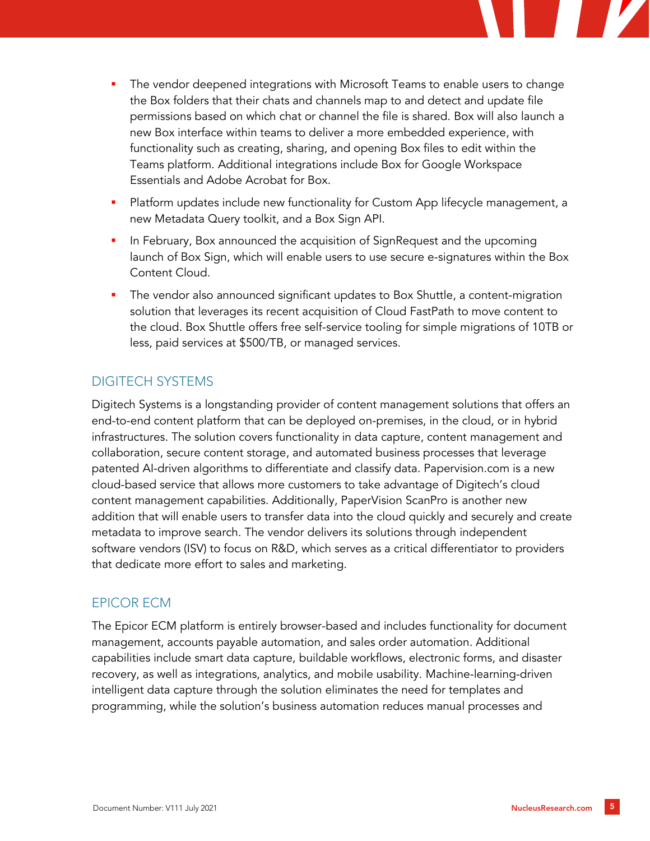

- Platform updates include new functionality for Custom App lifecycle management, a new Metadata Query toolkit, and a Box Sign API.
- In February, Box announced the acquisition of SignRequest and the upcoming launch of Box Sign, which will enable users to use secure e-signatures within the Box Content Cloud.
- The vendor also announced significant updates to Box Shuttle, a content-migration solution that leverages its recent acquisition of Cloud FastPath to move content to the cloud. Box Shuttle offers free self-service tooling for simple migrations of 10TB or less, paid services at \$500/TB, or managed services.

#### DIGITECH SYSTEMS

Digitech Systems is a longstanding provider of content management solutions that offers an end-to-end content platform that can be deployed on-premises, in the cloud, or in hybrid infrastructures. The solution covers functionality in data capture, content management and collaboration, secure content storage, and automated business processes that leverage patented AI-driven algorithms to differentiate and classify data. Papervision.com is a new cloud-based service that allows more customers to take advantage of Digitech's cloud content management capabilities. Additionally, PaperVision ScanPro is another new addition that will enable users to transfer data into the cloud quickly and securely and create metadata to improve search. The vendor delivers its solutions through independent software vendors (ISV) to focus on R&D, which serves as a critical differentiator to providers that dedicate more effort to sales and marketing.

#### EPICOR ECM

The Epicor ECM platform is entirely browser-based and includes functionality for document management, accounts payable automation, and sales order automation. Additional capabilities include smart data capture, buildable workflows, electronic forms, and disaster recovery, as well as integrations, analytics, and mobile usability. Machine-learning-driven intelligent data capture through the solution eliminates the need for templates and programming, while the solution's business automation reduces manual processes and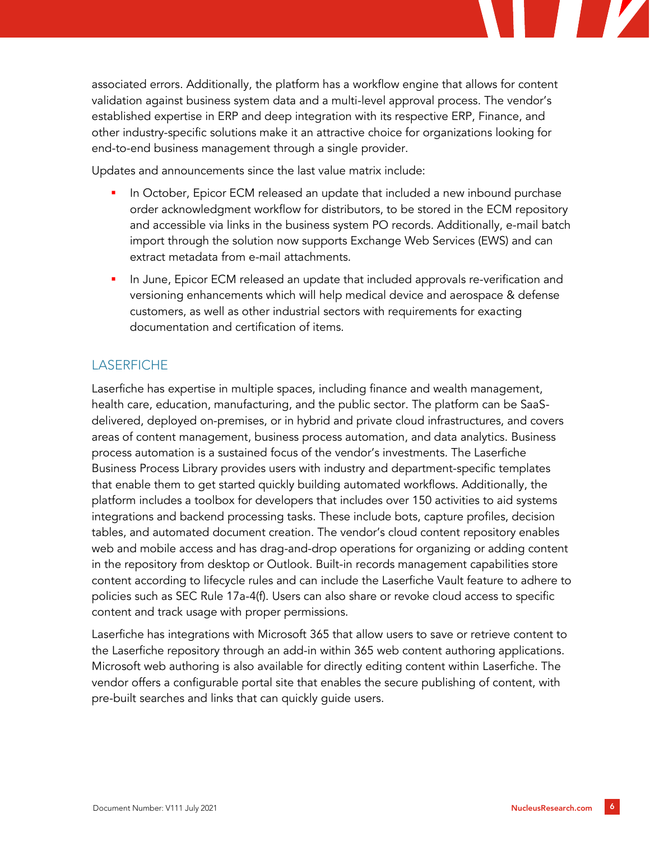

Updates and announcements since the last value matrix include:

- In October, Epicor ECM released an update that included a new inbound purchase order acknowledgment workflow for distributors, to be stored in the ECM repository and accessible via links in the business system PO records. Additionally, e-mail batch import through the solution now supports Exchange Web Services (EWS) and can extract metadata from e-mail attachments.
- In June, Epicor ECM released an update that included approvals re-verification and versioning enhancements which will help medical device and aerospace & defense customers, as well as other industrial sectors with requirements for exacting documentation and certification of items.

#### **LASERFICHE**

Laserfiche has expertise in multiple spaces, including finance and wealth management, health care, education, manufacturing, and the public sector. The platform can be SaaSdelivered, deployed on-premises, or in hybrid and private cloud infrastructures, and covers areas of content management, business process automation, and data analytics. Business process automation is a sustained focus of the vendor's investments. The Laserfiche Business Process Library provides users with industry and department-specific templates that enable them to get started quickly building automated workflows. Additionally, the platform includes a toolbox for developers that includes over 150 activities to aid systems integrations and backend processing tasks. These include bots, capture profiles, decision tables, and automated document creation. The vendor's cloud content repository enables web and mobile access and has drag-and-drop operations for organizing or adding content in the repository from desktop or Outlook. Built-in records management capabilities store content according to lifecycle rules and can include the Laserfiche Vault feature to adhere to policies such as SEC Rule 17a-4(f). Users can also share or revoke cloud access to specific content and track usage with proper permissions.

Laserfiche has integrations with Microsoft 365 that allow users to save or retrieve content to the Laserfiche repository through an add-in within 365 web content authoring applications. Microsoft web authoring is also available for directly editing content within Laserfiche. The vendor offers a configurable portal site that enables the secure publishing of content, with pre-built searches and links that can quickly guide users.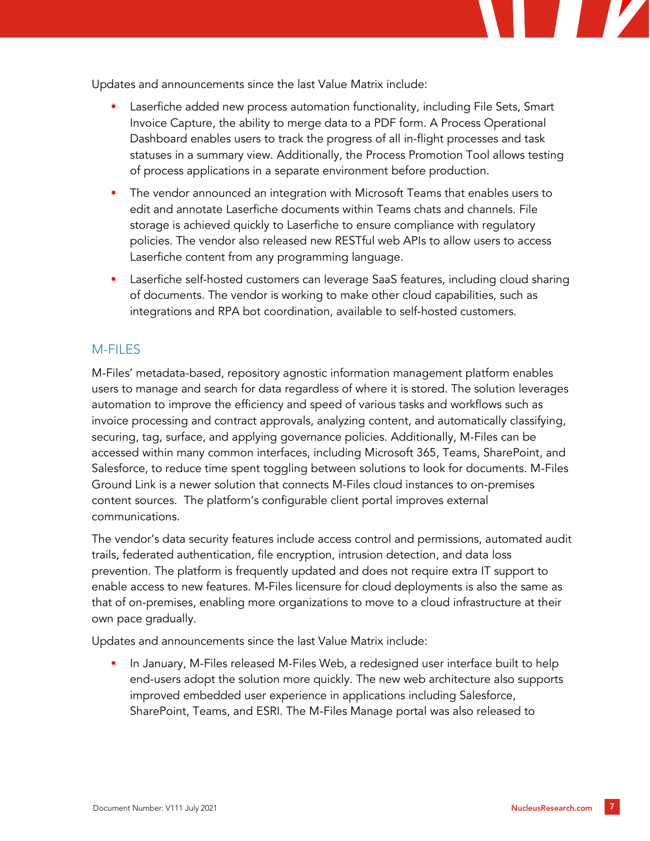

Updates and announcements since the last Value Matrix include:

- Laserfiche added new process automation functionality, including File Sets, Smart Invoice Capture, the ability to merge data to a PDF form. A Process Operational Dashboard enables users to track the progress of all in-flight processes and task statuses in a summary view. Additionally, the Process Promotion Tool allows testing of process applications in a separate environment before production.
- **•** The vendor announced an integration with Microsoft Teams that enables users to edit and annotate Laserfiche documents within Teams chats and channels. File storage is achieved quickly to Laserfiche to ensure compliance with regulatory policies. The vendor also released new RESTful web APIs to allow users to access Laserfiche content from any programming language.
- **EXECTE:** Laserfiche self-hosted customers can leverage SaaS features, including cloud sharing of documents. The vendor is working to make other cloud capabilities, such as integrations and RPA bot coordination, available to self-hosted customers.

#### M-FILES

M-Files' metadata-based, repository agnostic information management platform enables users to manage and search for data regardless of where it is stored. The solution leverages automation to improve the efficiency and speed of various tasks and workflows such as invoice processing and contract approvals, analyzing content, and automatically classifying, securing, tag, surface, and applying governance policies. Additionally, M-Files can be accessed within many common interfaces, including Microsoft 365, Teams, SharePoint, and Salesforce, to reduce time spent toggling between solutions to look for documents. M-Files Ground Link is a newer solution that connects M-Files cloud instances to on-premises content sources. The platform's configurable client portal improves external communications.

The vendor's data security features include access control and permissions, automated audit trails, federated authentication, file encryption, intrusion detection, and data loss prevention. The platform is frequently updated and does not require extra IT support to enable access to new features. M-Files licensure for cloud deployments is also the same as that of on-premises, enabling more organizations to move to a cloud infrastructure at their own pace gradually.

Updates and announcements since the last Value Matrix include:

In January, M-Files released M-Files Web, a redesigned user interface built to help end-users adopt the solution more quickly. The new web architecture also supports improved embedded user experience in applications including Salesforce, SharePoint, Teams, and ESRI. The M-Files Manage portal was also released to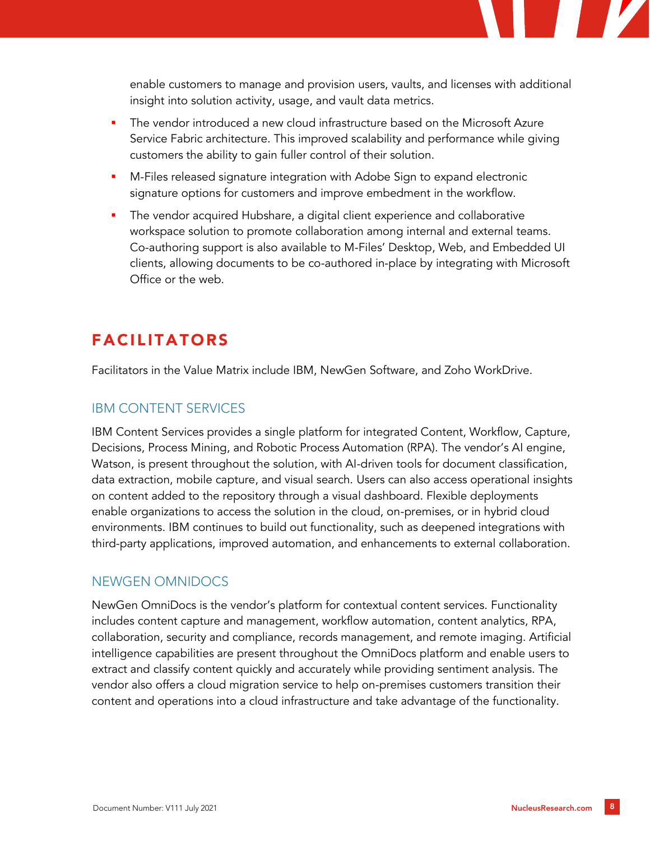

- The vendor introduced a new cloud infrastructure based on the Microsoft Azure Service Fabric architecture. This improved scalability and performance while giving customers the ability to gain fuller control of their solution.
- M-Files released signature integration with Adobe Sign to expand electronic signature options for customers and improve embedment in the workflow.
- The vendor acquired Hubshare, a digital client experience and collaborative workspace solution to promote collaboration among internal and external teams. Co-authoring support is also available to M-Files' Desktop, Web, and Embedded UI clients, allowing documents to be co-authored in-place by integrating with Microsoft Office or the web.

## FACILITATORS

Facilitators in the Value Matrix include IBM, NewGen Software, and Zoho WorkDrive.

#### IBM CONTENT SERVICES

IBM Content Services provides a single platform for integrated Content, Workflow, Capture, Decisions, Process Mining, and Robotic Process Automation (RPA). The vendor's AI engine, Watson, is present throughout the solution, with AI-driven tools for document classification, data extraction, mobile capture, and visual search. Users can also access operational insights on content added to the repository through a visual dashboard. Flexible deployments enable organizations to access the solution in the cloud, on-premises, or in hybrid cloud environments. IBM continues to build out functionality, such as deepened integrations with third-party applications, improved automation, and enhancements to external collaboration.

#### NEWGEN OMNIDOCS

NewGen OmniDocs is the vendor's platform for contextual content services. Functionality includes content capture and management, workflow automation, content analytics, RPA, collaboration, security and compliance, records management, and remote imaging. Artificial intelligence capabilities are present throughout the OmniDocs platform and enable users to extract and classify content quickly and accurately while providing sentiment analysis. The vendor also offers a cloud migration service to help on-premises customers transition their content and operations into a cloud infrastructure and take advantage of the functionality.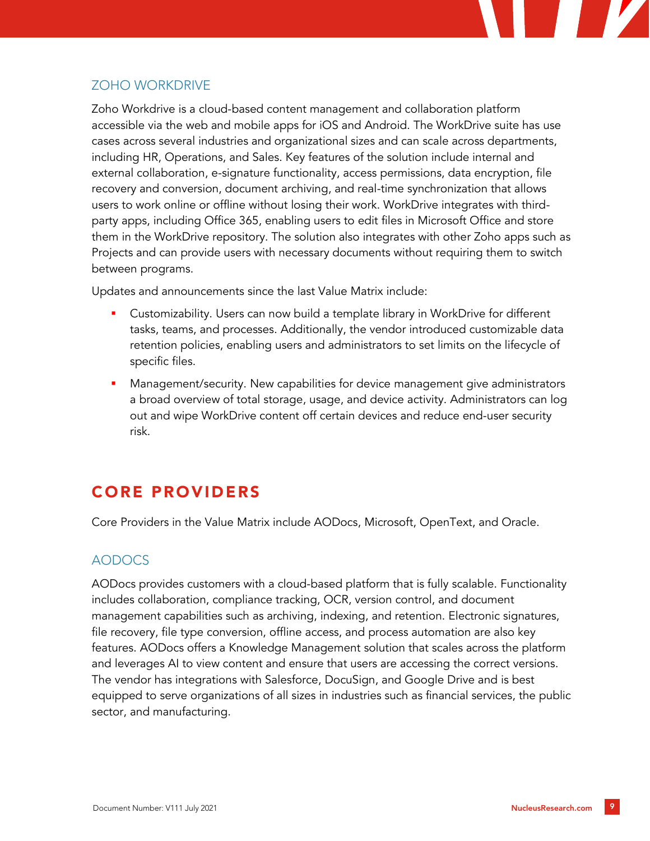

#### ZOHO WORKDRIVE

Zoho Workdrive is a cloud-based content management and collaboration platform accessible via the web and mobile apps for iOS and Android. The WorkDrive suite has use cases across several industries and organizational sizes and can scale across departments, including HR, Operations, and Sales. Key features of the solution include internal and external collaboration, e-signature functionality, access permissions, data encryption, file recovery and conversion, document archiving, and real-time synchronization that allows users to work online or offline without losing their work. WorkDrive integrates with thirdparty apps, including Office 365, enabling users to edit files in Microsoft Office and store them in the WorkDrive repository. The solution also integrates with other Zoho apps such as Projects and can provide users with necessary documents without requiring them to switch between programs.

Updates and announcements since the last Value Matrix include:

- Customizability. Users can now build a template library in WorkDrive for different tasks, teams, and processes. Additionally, the vendor introduced customizable data retention policies, enabling users and administrators to set limits on the lifecycle of specific files.
- Management/security. New capabilities for device management give administrators a broad overview of total storage, usage, and device activity. Administrators can log out and wipe WorkDrive content off certain devices and reduce end-user security risk.

# CORE PROVIDERS

Core Providers in the Value Matrix include AODocs, Microsoft, OpenText, and Oracle.

#### AODOCS

AODocs provides customers with a cloud-based platform that is fully scalable. Functionality includes collaboration, compliance tracking, OCR, version control, and document management capabilities such as archiving, indexing, and retention. Electronic signatures, file recovery, file type conversion, offline access, and process automation are also key features. AODocs offers a Knowledge Management solution that scales across the platform and leverages AI to view content and ensure that users are accessing the correct versions. The vendor has integrations with Salesforce, DocuSign, and Google Drive and is best equipped to serve organizations of all sizes in industries such as financial services, the public sector, and manufacturing.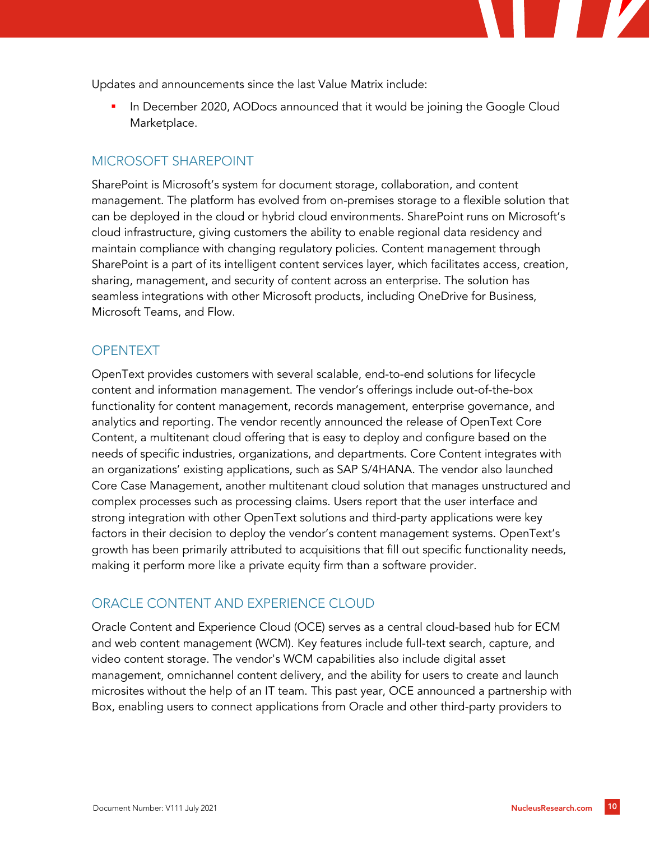Updates and announcements since the last Value Matrix include:

In December 2020, AODocs announced that it would be joining the Google Cloud Marketplace.

#### MICROSOFT SHAREPOINT

SharePoint is Microsoft's system for document storage, collaboration, and content management. The platform has evolved from on-premises storage to a flexible solution that can be deployed in the cloud or hybrid cloud environments. SharePoint runs on Microsoft's cloud infrastructure, giving customers the ability to enable regional data residency and maintain compliance with changing regulatory policies. Content management through SharePoint is a part of its intelligent content services layer, which facilitates access, creation, sharing, management, and security of content across an enterprise. The solution has seamless integrations with other Microsoft products, including OneDrive for Business, Microsoft Teams, and Flow.

#### **OPENTEXT**

OpenText provides customers with several scalable, end-to-end solutions for lifecycle content and information management. The vendor's offerings include out-of-the-box functionality for content management, records management, enterprise governance, and analytics and reporting. The vendor recently announced the release of OpenText Core Content, a multitenant cloud offering that is easy to deploy and configure based on the needs of specific industries, organizations, and departments. Core Content integrates with an organizations' existing applications, such as SAP S/4HANA. The vendor also launched Core Case Management, another multitenant cloud solution that manages unstructured and complex processes such as processing claims. Users report that the user interface and strong integration with other OpenText solutions and third-party applications were key factors in their decision to deploy the vendor's content management systems. OpenText's growth has been primarily attributed to acquisitions that fill out specific functionality needs, making it perform more like a private equity firm than a software provider.

#### ORACLE CONTENT AND EXPERIENCE CLOUD

Oracle Content and Experience Cloud (OCE) serves as a central cloud-based hub for ECM and web content management (WCM). Key features include full-text search, capture, and video content storage. The vendor's WCM capabilities also include digital asset management, omnichannel content delivery, and the ability for users to create and launch microsites without the help of an IT team. This past year, OCE announced a partnership with Box, enabling users to connect applications from Oracle and other third-party providers to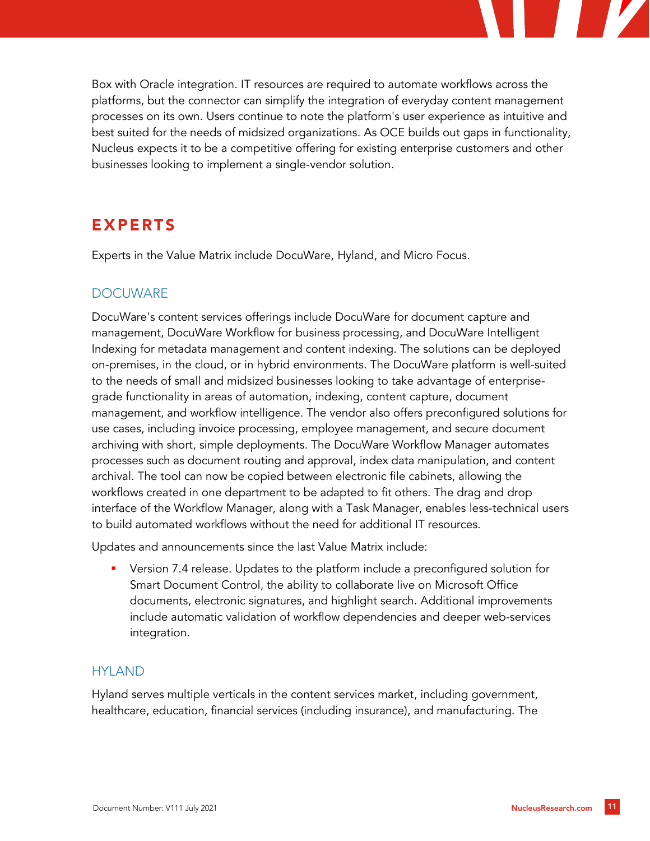Box with Oracle integration. IT resources are required to automate workflows across the platforms, but the connector can simplify the integration of everyday content management processes on its own. Users continue to note the platform's user experience as intuitive and best suited for the needs of midsized organizations. As OCE builds out gaps in functionality, Nucleus expects it to be a competitive offering for existing enterprise customers and other businesses looking to implement a single-vendor solution.

### EXPERTS

Experts in the Value Matrix include DocuWare, Hyland, and Micro Focus.

#### **DOCUWARE**

DocuWare's content services offerings include DocuWare for document capture and management, DocuWare Workflow for business processing, and DocuWare Intelligent Indexing for metadata management and content indexing. The solutions can be deployed on-premises, in the cloud, or in hybrid environments. The DocuWare platform is well-suited to the needs of small and midsized businesses looking to take advantage of enterprisegrade functionality in areas of automation, indexing, content capture, document management, and workflow intelligence. The vendor also offers preconfigured solutions for use cases, including invoice processing, employee management, and secure document archiving with short, simple deployments. The DocuWare Workflow Manager automates processes such as document routing and approval, index data manipulation, and content archival. The tool can now be copied between electronic file cabinets, allowing the workflows created in one department to be adapted to fit others. The drag and drop interface of the Workflow Manager, along with a Task Manager, enables less-technical users to build automated workflows without the need for additional IT resources.

Updates and announcements since the last Value Matrix include:

Version 7.4 release. Updates to the platform include a preconfigured solution for Smart Document Control, the ability to collaborate live on Microsoft Office documents, electronic signatures, and highlight search. Additional improvements include automatic validation of workflow dependencies and deeper web-services integration.

#### HYLAND

Hyland serves multiple verticals in the content services market, including government, healthcare, education, financial services (including insurance), and manufacturing. The